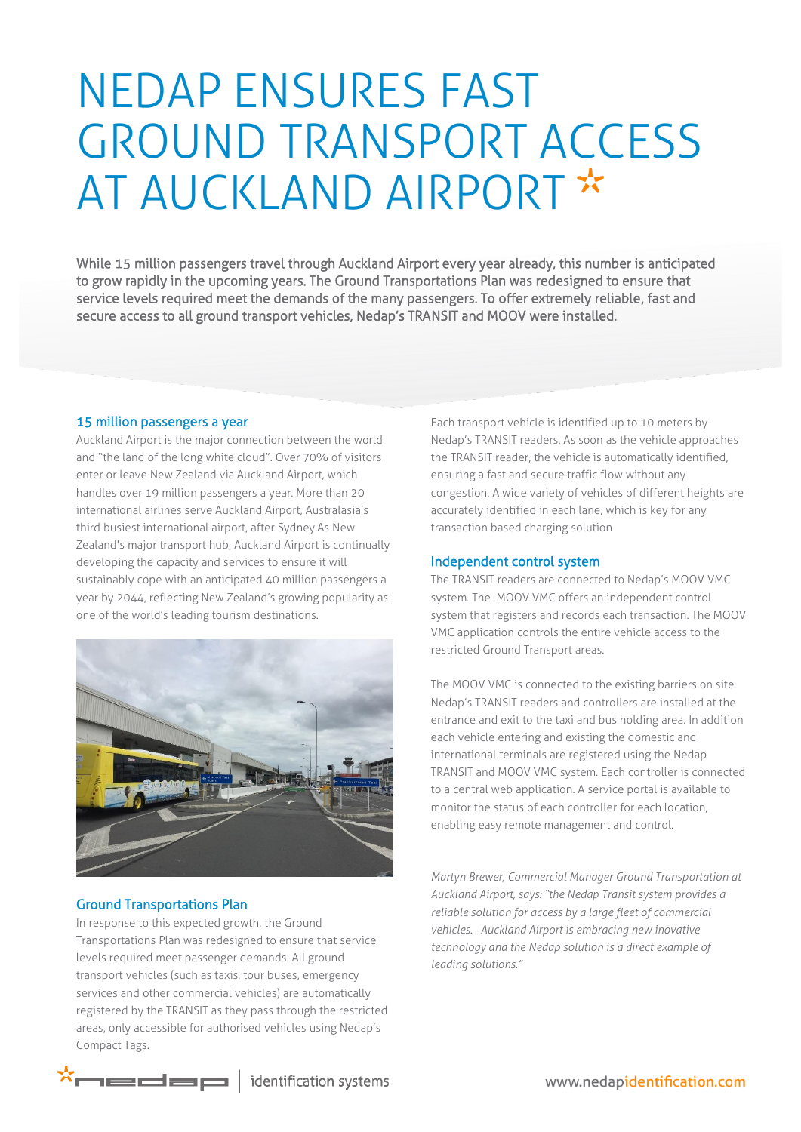# NEDAP ENSURES FAST GROUND TRANSPORT ACCESS AT AUCKLAND AIRPORT \*

While 15 million passengers travel through Auckland Airport every year already, this number is anticipated to grow rapidly in the upcoming years. The Ground Transportations Plan was redesigned to ensure that service levels required meet the demands of the many passengers. To offer extremely reliable, fast and secure access to all ground transport vehicles, Nedap's TRANSIT and MOOV were installed.

#### 15 million passengers a year

Auckland Airport is the major connection between the world and "the land of the long white cloud". Over 70% of visitors enter or leave New Zealand via Auckland Airport, which handles over 19 million passengers a year. More than 20 international airlines serve Auckland Airport, Australasia's third busiest international airport, after Sydney.As New Zealand's major transport hub, Auckland Airport is continually developing the capacity and services to ensure it will sustainably cope with an anticipated 40 million passengers a year by 2044, reflecting New Zealand's growing popularity as one of the world's leading tourism destinations.



## Ground Transportations Plan

In response to this expected growth, the Ground Transportations Plan was redesigned to ensure that service levels required meet passenger demands. All ground transport vehicles (such as taxis, tour buses, emergency services and other commercial vehicles) are automatically registered by the TRANSIT as they pass through the restricted areas, only accessible for authorised vehicles using Nedap's Compact Tags.

Each transport vehicle is identified up to 10 meters by Nedap's TRANSIT readers. As soon as the vehicle approaches the TRANSIT reader, the vehicle is automatically identified, ensuring a fast and secure traffic flow without any congestion. A wide variety of vehicles of different heights are accurately identified in each lane, which is key for any transaction based charging solution

### Independent control system

The TRANSIT readers are connected to Nedap's MOOV VMC system. The MOOV VMC offers an independent control system that registers and records each transaction. The MOOV VMC application controls the entire vehicle access to the restricted Ground Transport areas.

The MOOV VMC is connected to the existing barriers on site. Nedap's TRANSIT readers and controllers are installed at the entrance and exit to the taxi and bus holding area. In addition each vehicle entering and existing the domestic and international terminals are registered using the Nedap TRANSIT and MOOV VMC system. Each controller is connected to a central web application. A service portal is available to monitor the status of each controller for each location, enabling easy remote management and control.

*Martyn Brewer, Commercial Manager Ground Transportation at Auckland Airport, says: "the Nedap Transit system provides a reliable solution for access by a large fleet of commercial vehicles. Auckland Airport is embracing new inovative technology and the Nedap solution is a direct example of leading solutions."*

 $\star$  $\overline{\phantom{a}}$  identification systems

www.nedapidentification.com